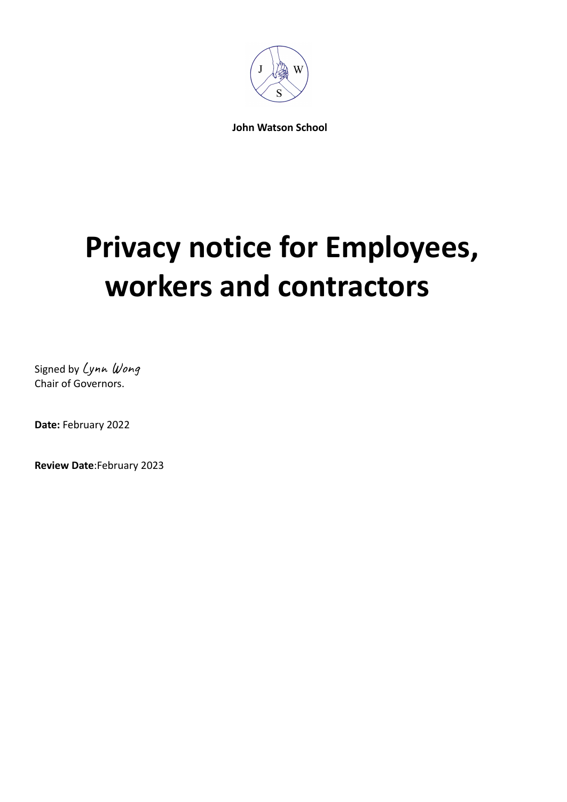

**John Watson School**

# **Privacy notice for Employees, workers and contractors**

Signed by Lynn Wong Chair of Governors.

**Date:** February 2022

**Review Date**:February 2023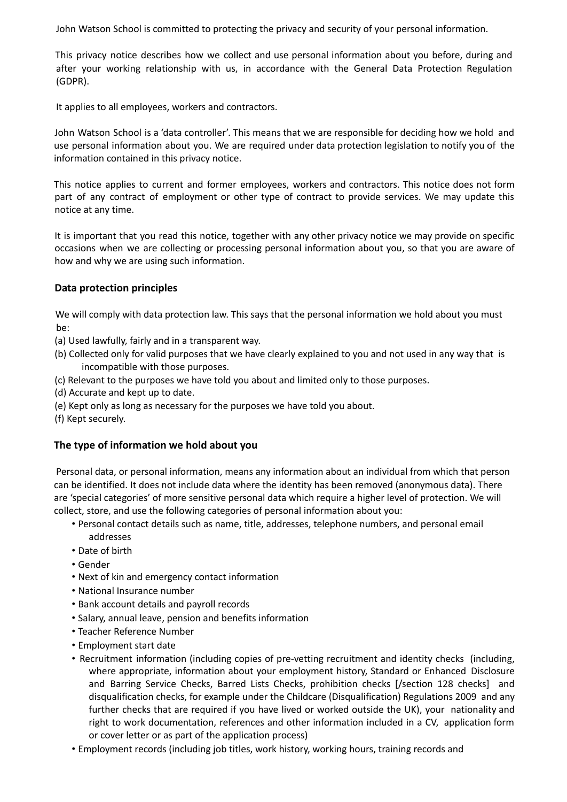John Watson School is committed to protecting the privacy and security of your personal information.

This privacy notice describes how we collect and use personal information about you before, during and after your working relationship with us, in accordance with the General Data Protection Regulation (GDPR).

It applies to all employees, workers and contractors.

John Watson School is a 'data controller'. This means that we are responsible for deciding how we hold and use personal information about you. We are required under data protection legislation to notify you of the information contained in this privacy notice.

This notice applies to current and former employees, workers and contractors. This notice does not form part of any contract of employment or other type of contract to provide services. We may update this notice at any time.

It is important that you read this notice, together with any other privacy notice we may provide on specific occasions when we are collecting or processing personal information about you, so that you are aware of how and why we are using such information.

# **Data protection principles**

We will comply with data protection law. This says that the personal information we hold about you must be:

- (a) Used lawfully, fairly and in a transparent way.
- (b) Collected only for valid purposes that we have clearly explained to you and not used in any way that is incompatible with those purposes.
- (c) Relevant to the purposes we have told you about and limited only to those purposes.
- (d) Accurate and kept up to date.
- (e) Kept only as long as necessary for the purposes we have told you about.
- (f) Kept securely.

# **The type of information we hold about you**

Personal data, or personal information, means any information about an individual from which that person can be identified. It does not include data where the identity has been removed (anonymous data). There are 'special categories' of more sensitive personal data which require a higher level of protection. We will collect, store, and use the following categories of personal information about you:

- Personal contact details such as name, title, addresses, telephone numbers, and personal email addresses
- Date of birth
- Gender
- Next of kin and emergency contact information
- National Insurance number
- Bank account details and payroll records
- Salary, annual leave, pension and benefits information
- Teacher Reference Number
- Employment start date
- Recruitment information (including copies of pre-vetting recruitment and identity checks (including, where appropriate, information about your employment history, Standard or Enhanced Disclosure and Barring Service Checks, Barred Lists Checks, prohibition checks [/section 128 checks] and disqualification checks, for example under the Childcare (Disqualification) Regulations 2009 and any further checks that are required if you have lived or worked outside the UK), your nationality and right to work documentation, references and other information included in a CV, application form or cover letter or as part of the application process)
- Employment records (including job titles, work history, working hours, training records and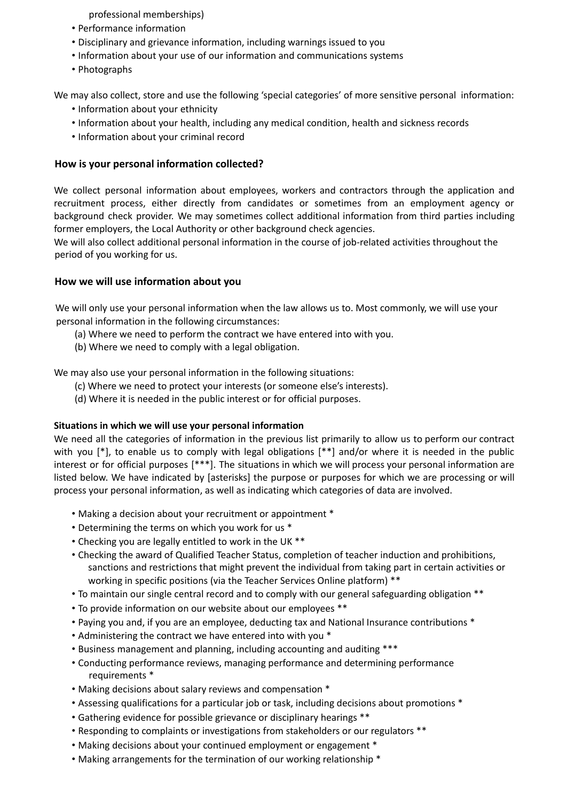professional memberships)

- Performance information
- Disciplinary and grievance information, including warnings issued to you
- Information about your use of our information and communications systems
- Photographs

We may also collect, store and use the following 'special categories' of more sensitive personal information:

- Information about your ethnicity
- Information about your health, including any medical condition, health and sickness records
- Information about your criminal record

# **How is your personal information collected?**

We collect personal information about employees, workers and contractors through the application and recruitment process, either directly from candidates or sometimes from an employment agency or background check provider. We may sometimes collect additional information from third parties including former employers, the Local Authority or other background check agencies.

We will also collect additional personal information in the course of job-related activities throughout the period of you working for us.

# **How we will use information about you**

We will only use your personal information when the law allows us to. Most commonly, we will use your personal information in the following circumstances:

- (a) Where we need to perform the contract we have entered into with you.
- (b) Where we need to comply with a legal obligation.

We may also use your personal information in the following situations:

- (c) Where we need to protect your interests (or someone else's interests).
- (d) Where it is needed in the public interest or for official purposes.

# **Situations in which we will use your personal information**

We need all the categories of information in the previous list primarily to allow us to perform our contract with you [\*], to enable us to comply with legal obligations [\*\*] and/or where it is needed in the public interest or for official purposes [\*\*\*]. The situations in which we will process your personal information are listed below. We have indicated by [asterisks] the purpose or purposes for which we are processing or will process your personal information, as well as indicating which categories of data are involved.

- Making a decision about your recruitment or appointment \*
- Determining the terms on which you work for us \*
- Checking you are legally entitled to work in the UK \*\*
- Checking the award of Qualified Teacher Status, completion of teacher induction and prohibitions, sanctions and restrictions that might prevent the individual from taking part in certain activities or working in specific positions (via the Teacher Services Online platform) \*\*
- To maintain our single central record and to comply with our general safeguarding obligation \*\*
- To provide information on our website about our employees \*\*
- Paying you and, if you are an employee, deducting tax and National Insurance contributions \*
- Administering the contract we have entered into with you \*
- Business management and planning, including accounting and auditing \*\*\*
- Conducting performance reviews, managing performance and determining performance requirements \*
- Making decisions about salary reviews and compensation \*
- Assessing qualifications for a particular job or task, including decisions about promotions \*
- Gathering evidence for possible grievance or disciplinary hearings \*\*
- Responding to complaints or investigations from stakeholders or our regulators \*\*
- Making decisions about your continued employment or engagement \*
- Making arrangements for the termination of our working relationship \*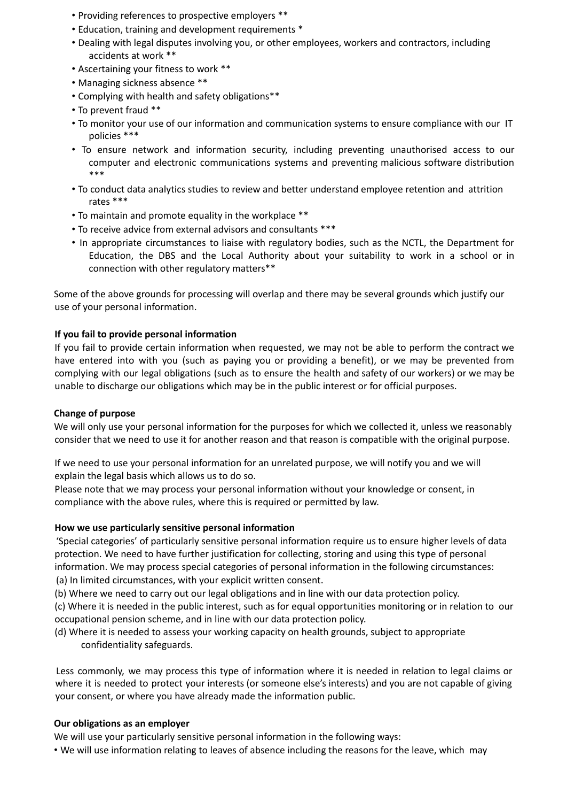- Providing references to prospective employers \*\*
- Education, training and development requirements \*
- Dealing with legal disputes involving you, or other employees, workers and contractors, including accidents at work \*\*
- Ascertaining your fitness to work \*\*
- Managing sickness absence \*\*
- Complying with health and safety obligations\*\*
- To prevent fraud \*\*
- To monitor your use of our information and communication systems to ensure compliance with our IT policies \*\*\*
- To ensure network and information security, including preventing unauthorised access to our computer and electronic communications systems and preventing malicious software distribution \*\*\*
- To conduct data analytics studies to review and better understand employee retention and attrition rates \*\*\*
- To maintain and promote equality in the workplace \*\*
- To receive advice from external advisors and consultants \*\*\*
- In appropriate circumstances to liaise with regulatory bodies, such as the NCTL, the Department for Education, the DBS and the Local Authority about your suitability to work in a school or in connection with other regulatory matters\*\*

Some of the above grounds for processing will overlap and there may be several grounds which justify our use of your personal information.

### **If you fail to provide personal information**

If you fail to provide certain information when requested, we may not be able to perform the contract we have entered into with you (such as paying you or providing a benefit), or we may be prevented from complying with our legal obligations (such as to ensure the health and safety of our workers) or we may be unable to discharge our obligations which may be in the public interest or for official purposes.

### **Change of purpose**

We will only use your personal information for the purposes for which we collected it, unless we reasonably consider that we need to use it for another reason and that reason is compatible with the original purpose.

If we need to use your personal information for an unrelated purpose, we will notify you and we will explain the legal basis which allows us to do so.

Please note that we may process your personal information without your knowledge or consent, in compliance with the above rules, where this is required or permitted by law.

### **How we use particularly sensitive personal information**

'Special categories' of particularly sensitive personal information require us to ensure higher levels of data protection. We need to have further justification for collecting, storing and using this type of personal information. We may process special categories of personal information in the following circumstances: (a) In limited circumstances, with your explicit written consent.

(b) Where we need to carry out our legal obligations and in line with our data protection policy.

(c) Where it is needed in the public interest, such as for equal opportunities monitoring or in relation to our occupational pension scheme, and in line with our data protection policy.

(d) Where it is needed to assess your working capacity on health grounds, subject to appropriate confidentiality safeguards.

Less commonly, we may process this type of information where it is needed in relation to legal claims or where it is needed to protect your interests (or someone else's interests) and you are not capable of giving your consent, or where you have already made the information public.

### **Our obligations as an employer**

We will use your particularly sensitive personal information in the following ways:

• We will use information relating to leaves of absence including the reasons for the leave, which may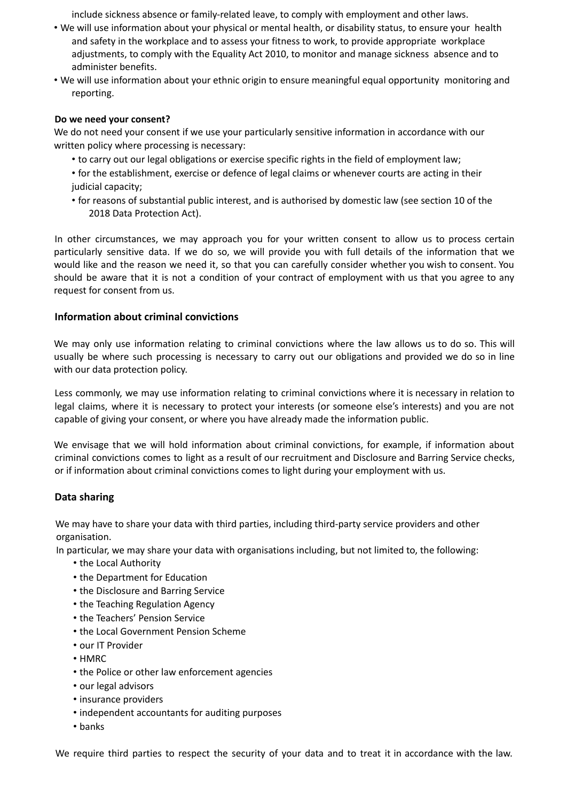include sickness absence or family-related leave, to comply with employment and other laws.

- We will use information about your physical or mental health, or disability status, to ensure your health and safety in the workplace and to assess your fitness to work, to provide appropriate workplace adjustments, to comply with the Equality Act 2010, to monitor and manage sickness absence and to administer benefits.
- We will use information about your ethnic origin to ensure meaningful equal opportunity monitoring and reporting.

## **Do we need your consent?**

We do not need your consent if we use your particularly sensitive information in accordance with our written policy where processing is necessary:

- to carry out our legal obligations or exercise specific rights in the field of employment law;
- for the establishment, exercise or defence of legal claims or whenever courts are acting in their judicial capacity;
- for reasons of substantial public interest, and is authorised by domestic law (see section 10 of the 2018 Data Protection Act).

In other circumstances, we may approach you for your written consent to allow us to process certain particularly sensitive data. If we do so, we will provide you with full details of the information that we would like and the reason we need it, so that you can carefully consider whether you wish to consent. You should be aware that it is not a condition of your contract of employment with us that you agree to any request for consent from us.

# **Information about criminal convictions**

We may only use information relating to criminal convictions where the law allows us to do so. This will usually be where such processing is necessary to carry out our obligations and provided we do so in line with our data protection policy.

Less commonly, we may use information relating to criminal convictions where it is necessary in relation to legal claims, where it is necessary to protect your interests (or someone else's interests) and you are not capable of giving your consent, or where you have already made the information public.

We envisage that we will hold information about criminal convictions, for example, if information about criminal convictions comes to light as a result of our recruitment and Disclosure and Barring Service checks, or if information about criminal convictions comes to light during your employment with us.

# **Data sharing**

We may have to share your data with third parties, including third-party service providers and other organisation.

In particular, we may share your data with organisations including, but not limited to, the following:

- the Local Authority
- the Department for Education
- the Disclosure and Barring Service
- the Teaching Regulation Agency
- the Teachers' Pension Service
- the Local Government Pension Scheme
- our IT Provider
- HMRC
- the Police or other law enforcement agencies
- our legal advisors
- insurance providers
- independent accountants for auditing purposes
- banks

We require third parties to respect the security of your data and to treat it in accordance with the law.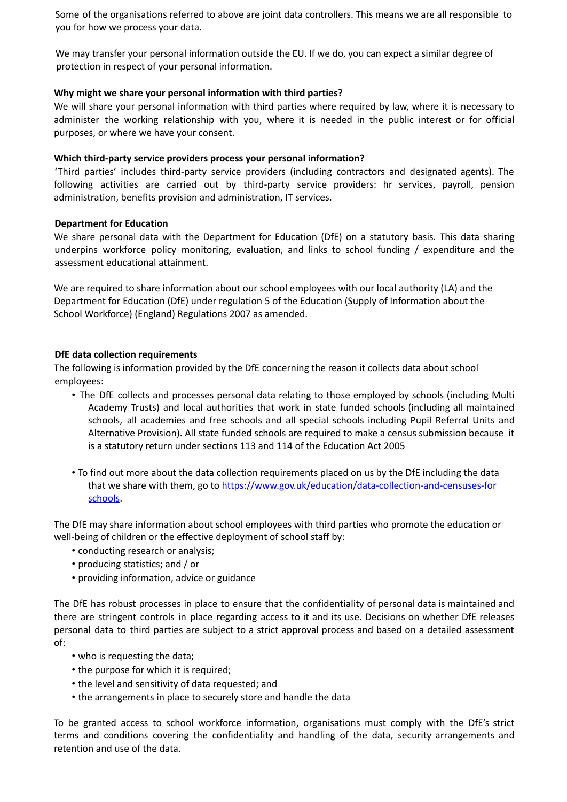Some of the organisations referred to above are joint data controllers. This means we are all responsible to you for how we process your data.

We may transfer your personal information outside the EU. If we do, you can expect a similar degree of protection in respect of your personal information.

# **Why might we share your personal information with third parties?**

We will share your personal information with third parties where required by law, where it is necessary to administer the working relationship with you, where it is needed in the public interest or for official purposes, or where we have your consent.

# **Which third-party service providers process your personal information?**

'Third parties' includes third-party service providers (including contractors and designated agents). The following activities are carried out by third-party service providers: hr services, payroll, pension administration, benefits provision and administration, IT services.

# **Department for Education**

We share personal data with the Department for Education (DfE) on a statutory basis. This data sharing underpins workforce policy monitoring, evaluation, and links to school funding / expenditure and the assessment educational attainment.

We are required to share information about our school employees with our local authority (LA) and the Department for Education (DfE) under regulation 5 of the Education (Supply of Information about the School Workforce) (England) Regulations 2007 as amended.

# **DfE data collection requirements**

The following is information provided by the DfE concerning the reason it collects data about school employees:

- The DfE collects and processes personal data relating to those employed by schools (including Multi Academy Trusts) and local authorities that work in state funded schools (including all maintained schools, all academies and free schools and all special schools including Pupil Referral Units and Alternative Provision). All state funded schools are required to make a census submission because it is a statutory return under sections 113 and 114 of the Education Act 2005
- To find out more about the data collection requirements placed on us by the DfE including the data that we share with them, go to https://www.gov.uk/education/data-collection-and-censuses-for schools.

The DfE may share information about school employees with third parties who promote the education or well-being of children or the effective deployment of school staff by:

- conducting research or analysis;
- producing statistics; and / or
- providing information, advice or guidance

The DfE has robust processes in place to ensure that the confidentiality of personal data is maintained and there are stringent controls in place regarding access to it and its use. Decisions on whether DfE releases personal data to third parties are subject to a strict approval process and based on a detailed assessment of:

- who is requesting the data;
- the purpose for which it is required;
- the level and sensitivity of data requested; and
- the arrangements in place to securely store and handle the data

To be granted access to school workforce information, organisations must comply with the DfE's strict terms and conditions covering the confidentiality and handling of the data, security arrangements and retention and use of the data.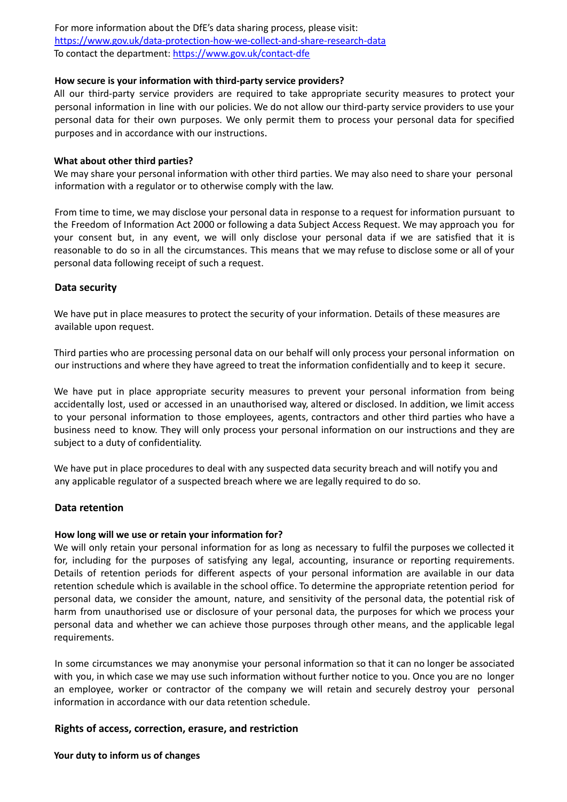For more information about the DfE's data sharing process, please visit: https://www.gov.uk/data-protection-how-we-collect-and-share-research-data To contact the department: https://www.gov.uk/contact-dfe

### **How secure is your information with third-party service providers?**

All our third-party service providers are required to take appropriate security measures to protect your personal information in line with our policies. We do not allow our third-party service providers to use your personal data for their own purposes. We only permit them to process your personal data for specified purposes and in accordance with our instructions.

#### **What about other third parties?**

We may share your personal information with other third parties. We may also need to share your personal information with a regulator or to otherwise comply with the law.

From time to time, we may disclose your personal data in response to a request for information pursuant to the Freedom of Information Act 2000 or following a data Subject Access Request. We may approach you for your consent but, in any event, we will only disclose your personal data if we are satisfied that it is reasonable to do so in all the circumstances. This means that we may refuse to disclose some or all of your personal data following receipt of such a request.

### **Data security**

We have put in place measures to protect the security of your information. Details of these measures are available upon request.

Third parties who are processing personal data on our behalf will only process your personal information on our instructions and where they have agreed to treat the information confidentially and to keep it secure.

We have put in place appropriate security measures to prevent your personal information from being accidentally lost, used or accessed in an unauthorised way, altered or disclosed. In addition, we limit access to your personal information to those employees, agents, contractors and other third parties who have a business need to know. They will only process your personal information on our instructions and they are subject to a duty of confidentiality.

We have put in place procedures to deal with any suspected data security breach and will notify you and any applicable regulator of a suspected breach where we are legally required to do so.

### **Data retention**

#### **How long will we use or retain your information for?**

We will only retain your personal information for as long as necessary to fulfil the purposes we collected it for, including for the purposes of satisfying any legal, accounting, insurance or reporting requirements. Details of retention periods for different aspects of your personal information are available in our data retention schedule which is available in the school office. To determine the appropriate retention period for personal data, we consider the amount, nature, and sensitivity of the personal data, the potential risk of harm from unauthorised use or disclosure of your personal data, the purposes for which we process your personal data and whether we can achieve those purposes through other means, and the applicable legal requirements.

In some circumstances we may anonymise your personal information so that it can no longer be associated with you, in which case we may use such information without further notice to you. Once you are no longer an employee, worker or contractor of the company we will retain and securely destroy your personal information in accordance with our data retention schedule.

### **Rights of access, correction, erasure, and restriction**

**Your duty to inform us of changes**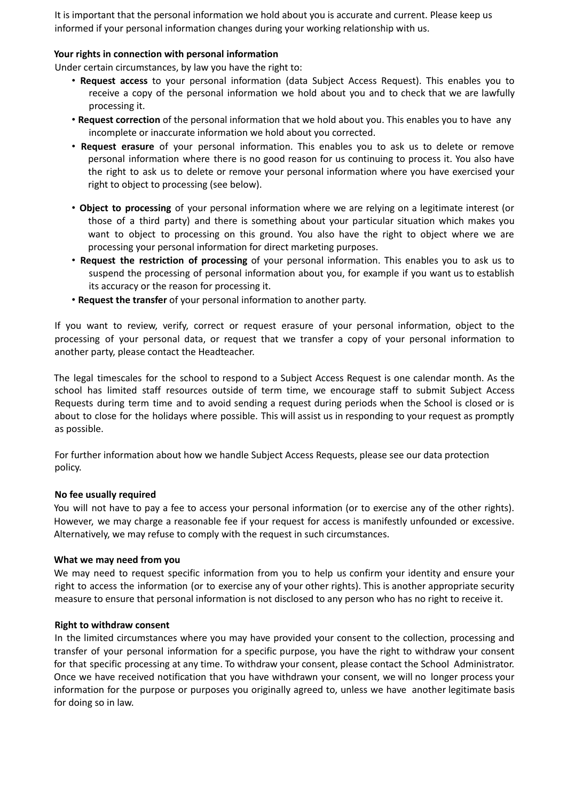It is important that the personal information we hold about you is accurate and current. Please keep us informed if your personal information changes during your working relationship with us.

## **Your rights in connection with personal information**

Under certain circumstances, by law you have the right to:

- **Request access** to your personal information (data Subject Access Request). This enables you to receive a copy of the personal information we hold about you and to check that we are lawfully processing it.
- **Request correction** of the personal information that we hold about you. This enables you to have any incomplete or inaccurate information we hold about you corrected.
- **Request erasure** of your personal information. This enables you to ask us to delete or remove personal information where there is no good reason for us continuing to process it. You also have the right to ask us to delete or remove your personal information where you have exercised your right to object to processing (see below).
- **Object to processing** of your personal information where we are relying on a legitimate interest (or those of a third party) and there is something about your particular situation which makes you want to object to processing on this ground. You also have the right to object where we are processing your personal information for direct marketing purposes.
- **Request the restriction of processing** of your personal information. This enables you to ask us to suspend the processing of personal information about you, for example if you want us to establish its accuracy or the reason for processing it.
- **Request the transfer** of your personal information to another party.

If you want to review, verify, correct or request erasure of your personal information, object to the processing of your personal data, or request that we transfer a copy of your personal information to another party, please contact the Headteacher.

The legal timescales for the school to respond to a Subject Access Request is one calendar month. As the school has limited staff resources outside of term time, we encourage staff to submit Subject Access Requests during term time and to avoid sending a request during periods when the School is closed or is about to close for the holidays where possible. This will assist us in responding to your request as promptly as possible.

For further information about how we handle Subject Access Requests, please see our data protection policy.

### **No fee usually required**

You will not have to pay a fee to access your personal information (or to exercise any of the other rights). However, we may charge a reasonable fee if your request for access is manifestly unfounded or excessive. Alternatively, we may refuse to comply with the request in such circumstances.

### **What we may need from you**

We may need to request specific information from you to help us confirm your identity and ensure your right to access the information (or to exercise any of your other rights). This is another appropriate security measure to ensure that personal information is not disclosed to any person who has no right to receive it.

### **Right to withdraw consent**

In the limited circumstances where you may have provided your consent to the collection, processing and transfer of your personal information for a specific purpose, you have the right to withdraw your consent for that specific processing at any time. To withdraw your consent, please contact the School Administrator. Once we have received notification that you have withdrawn your consent, we will no longer process your information for the purpose or purposes you originally agreed to, unless we have another legitimate basis for doing so in law.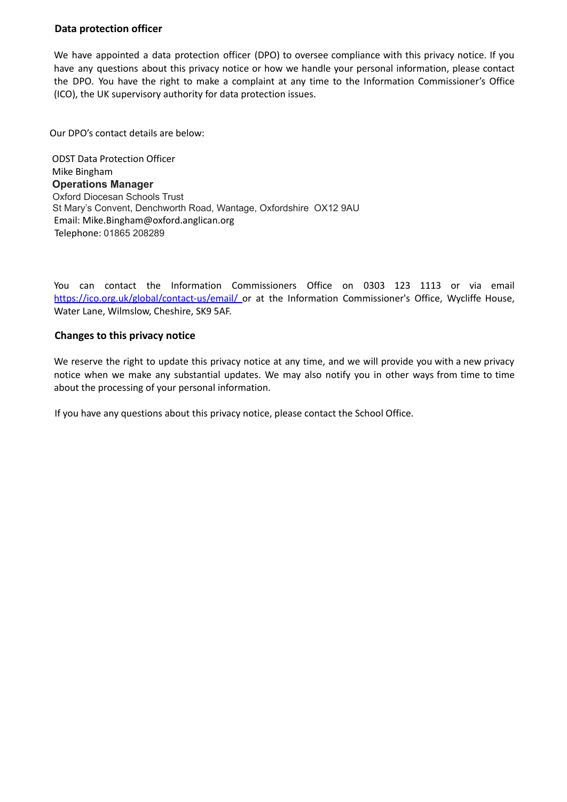# **Data protection officer**

We have appointed a data protection officer (DPO) to oversee compliance with this privacy notice. If you have any questions about this privacy notice or how we handle your personal information, please contact the DPO. You have the right to make a complaint at any time to the Information Commissioner's Office (ICO), the UK supervisory authority for data protection issues.

Our DPO's contact details are below:

ODST Data Protection Officer Mike Bingham **Operations Manager** Oxford Diocesan Schools Trust St Mary's Convent, Denchworth Road, Wantage, Oxfordshire OX12 9AU Email: Mike.Bingham@oxford.anglican.org Telephone: 01865 208289

You can contact the Information Commissioners Office on 0303 123 1113 or via email https://ico.org.uk/global/contact-us/email/ or at the Information Commissioner's Office, Wycliffe House, Water Lane, Wilmslow, Cheshire, SK9 5AF.

### **Changes to this privacy notice**

We reserve the right to update this privacy notice at any time, and we will provide you with a new privacy notice when we make any substantial updates. We may also notify you in other ways from time to time about the processing of your personal information.

If you have any questions about this privacy notice, please contact the School Office.